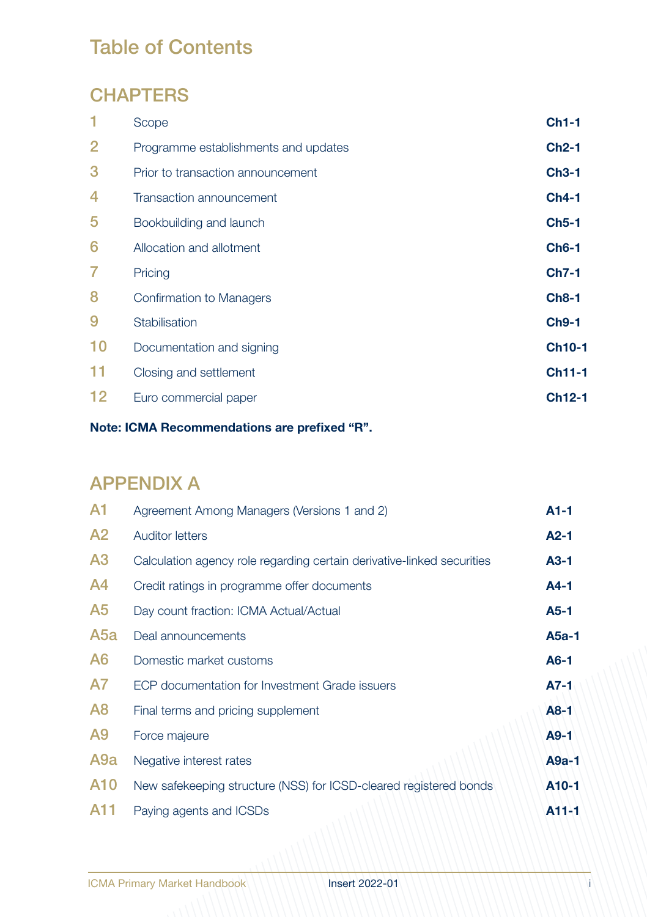# Table of Contents

### **CHAPTERS**

| Scope                                | $Ch1-1$       |
|--------------------------------------|---------------|
| Programme establishments and updates | $Ch2-1$       |
| Prior to transaction announcement    | $Ch3-1$       |
| Transaction announcement             | $Ch4-1$       |
| Bookbuilding and launch              | $Ch5-1$       |
| Allocation and allotment             | <b>Ch6-1</b>  |
| Pricing                              | $Ch7-1$       |
| Confirmation to Managers             | $Ch8-1$       |
| Stabilisation                        | <b>Ch9-1</b>  |
| Documentation and signing            | <b>Ch10-1</b> |
| Closing and settlement               | <b>Ch11-1</b> |
| Euro commercial paper                | <b>Ch12-1</b> |
|                                      |               |

#### **Note: ICMA Recommendations are prefixed "R".**

### APPENDIX A

| A <sub>1</sub>   | Agreement Among Managers (Versions 1 and 2)                            | $A1-1$            |
|------------------|------------------------------------------------------------------------|-------------------|
| A <sub>2</sub>   | <b>Auditor letters</b>                                                 | $A2-1$            |
| A <sub>3</sub>   | Calculation agency role regarding certain derivative-linked securities | A3-1              |
| A4               | Credit ratings in programme offer documents                            | A4-1              |
| A <sub>5</sub>   | Day count fraction: ICMA Actual/Actual                                 | A5-1              |
| A5a              | Deal announcements                                                     | A5a-1             |
| A <sub>6</sub>   | Domestic market customs                                                | $A6-1$            |
| A7               | ECP documentation for Investment Grade issuers                         | A7-1              |
| A <sub>8</sub>   | Final terms and pricing supplement                                     | $A8-1$            |
| A9               | Force majeure                                                          | $A9-1$            |
| A <sub>9</sub> a | Negative interest rates                                                | $A9a-1$           |
| A <sub>10</sub>  | New safekeeping structure (NSS) for ICSD-cleared registered bonds      | A <sub>10-1</sub> |
| A11              | Paying agents and ICSDs                                                | $A11-1$           |
|                  |                                                                        |                   |